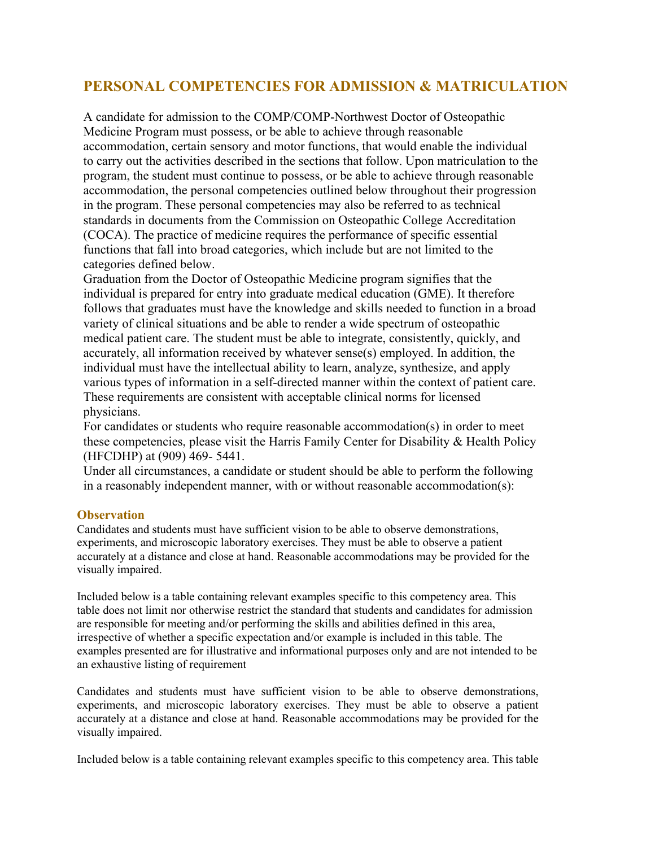# **PERSONAL COMPETENCIES FOR ADMISSION & MATRICULATION**

A candidate for admission to the COMP/COMP-Northwest Doctor of Osteopathic Medicine Program must possess, or be able to achieve through reasonable accommodation, certain sensory and motor functions, that would enable the individual to carry out the activities described in the sections that follow. Upon matriculation to the program, the student must continue to possess, or be able to achieve through reasonable accommodation, the personal competencies outlined below throughout their progression in the program. These personal competencies may also be referred to as technical standards in documents from the Commission on Osteopathic College Accreditation (COCA). The practice of medicine requires the performance of specific essential functions that fall into broad categories, which include but are not limited to the categories defined below.

Graduation from the Doctor of Osteopathic Medicine program signifies that the individual is prepared for entry into graduate medical education (GME). It therefore follows that graduates must have the knowledge and skills needed to function in a broad variety of clinical situations and be able to render a wide spectrum of osteopathic medical patient care. The student must be able to integrate, consistently, quickly, and accurately, all information received by whatever sense(s) employed. In addition, the individual must have the intellectual ability to learn, analyze, synthesize, and apply various types of information in a self-directed manner within the context of patient care. These requirements are consistent with acceptable clinical norms for licensed physicians.

For candidates or students who require reasonable accommodation(s) in order to meet these competencies, please visit the Harris Family Center for Disability & Health Policy (HFCDHP) at (909) 469- 5441.

Under all circumstances, a candidate or student should be able to perform the following in a reasonably independent manner, with or without reasonable accommodation(s):

#### **Observation**

Candidates and students must have sufficient vision to be able to observe demonstrations, experiments, and microscopic laboratory exercises. They must be able to observe a patient accurately at a distance and close at hand. Reasonable accommodations may be provided for the visually impaired.

Included below is a table containing relevant examples specific to this competency area. This table does not limit nor otherwise restrict the standard that students and candidates for admission are responsible for meeting and/or performing the skills and abilities defined in this area, irrespective of whether a specific expectation and/or example is included in this table. The examples presented are for illustrative and informational purposes only and are not intended to be an exhaustive listing of requirement

Candidates and students must have sufficient vision to be able to observe demonstrations, experiments, and microscopic laboratory exercises. They must be able to observe a patient accurately at a distance and close at hand. Reasonable accommodations may be provided for the visually impaired.

Included below is a table containing relevant examples specific to this competency area. This table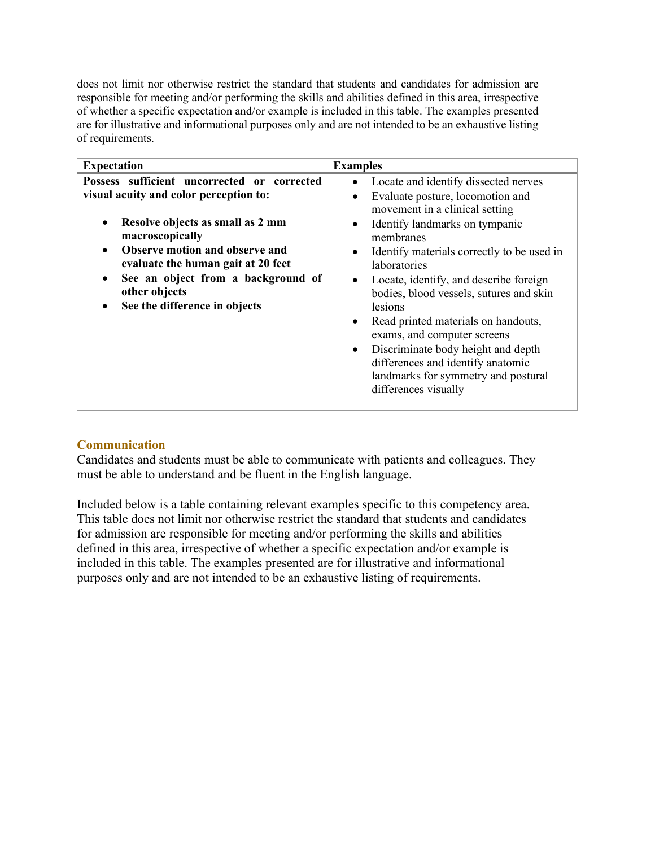does not limit nor otherwise restrict the standard that students and candidates for admission are responsible for meeting and/or performing the skills and abilities defined in this area, irrespective of whether a specific expectation and/or example is included in this table. The examples presented are for illustrative and informational purposes only and are not intended to be an exhaustive listing of requirements.

| <b>Expectation</b>                                                                                                                                                                                                                                                                                                       | <b>Examples</b>                                                                                                                                                                                                                                                                                                                                                                                                                                                                                                                                                                |
|--------------------------------------------------------------------------------------------------------------------------------------------------------------------------------------------------------------------------------------------------------------------------------------------------------------------------|--------------------------------------------------------------------------------------------------------------------------------------------------------------------------------------------------------------------------------------------------------------------------------------------------------------------------------------------------------------------------------------------------------------------------------------------------------------------------------------------------------------------------------------------------------------------------------|
| Possess sufficient uncorrected or corrected<br>visual acuity and color perception to:<br>Resolve objects as small as 2 mm<br>macroscopically<br><b>Observe motion and observe and</b><br>evaluate the human gait at 20 feet<br>See an object from a background of<br>٠<br>other objects<br>See the difference in objects | Locate and identify dissected nerves<br>Evaluate posture, locomotion and<br>movement in a clinical setting<br>Identify landmarks on tympanic<br>membranes<br>Identify materials correctly to be used in<br>laboratories<br>Locate, identify, and describe foreign<br>$\bullet$<br>bodies, blood vessels, sutures and skin<br>lesions<br>Read printed materials on handouts,<br>$\bullet$<br>exams, and computer screens<br>Discriminate body height and depth<br>$\bullet$<br>differences and identify anatomic<br>landmarks for symmetry and postural<br>differences visually |

## **Communication**

Candidates and students must be able to communicate with patients and colleagues. They must be able to understand and be fluent in the English language.

Included below is a table containing relevant examples specific to this competency area. This table does not limit nor otherwise restrict the standard that students and candidates for admission are responsible for meeting and/or performing the skills and abilities defined in this area, irrespective of whether a specific expectation and/or example is included in this table. The examples presented are for illustrative and informational purposes only and are not intended to be an exhaustive listing of requirements.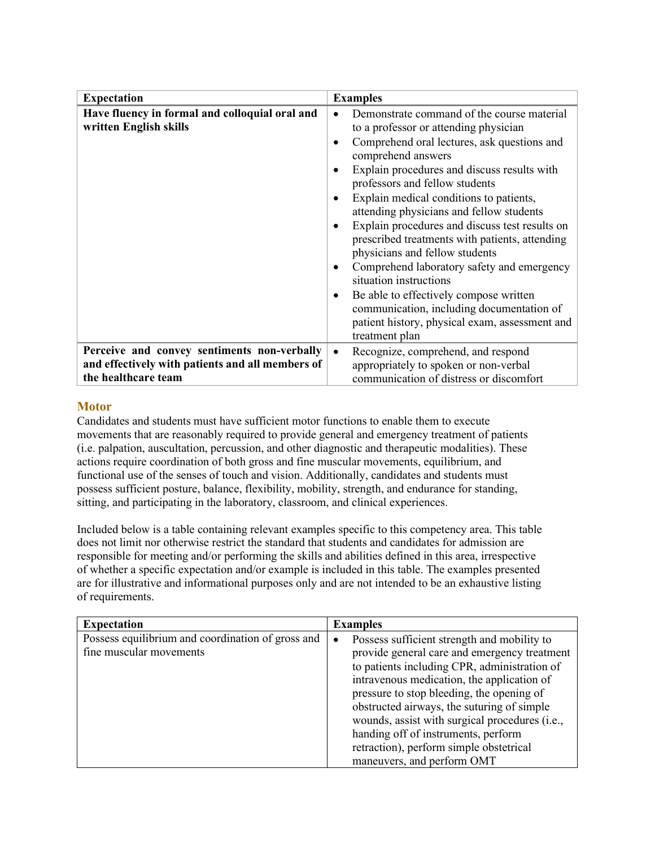| <b>Expectation</b>                                                                                                     | <b>Examples</b>                                                                                                                                                                                                                                                                                                                                                                                                                                                                               |
|------------------------------------------------------------------------------------------------------------------------|-----------------------------------------------------------------------------------------------------------------------------------------------------------------------------------------------------------------------------------------------------------------------------------------------------------------------------------------------------------------------------------------------------------------------------------------------------------------------------------------------|
| Have fluency in formal and colloquial oral and<br>written English skills                                               | Demonstrate command of the course material<br>$\bullet$<br>to a professor or attending physician<br>Comprehend oral lectures, ask questions and<br>$\bullet$<br>comprehend answers<br>Explain procedures and discuss results with<br>$\bullet$<br>professors and fellow students<br>Explain medical conditions to patients,<br>$\bullet$<br>attending physicians and fellow students<br>Explain procedures and discuss test results on<br>٠<br>prescribed treatments with patients, attending |
|                                                                                                                        | physicians and fellow students<br>Comprehend laboratory safety and emergency<br>$\bullet$<br>situation instructions<br>Be able to effectively compose written<br>$\bullet$<br>communication, including documentation of<br>patient history, physical exam, assessment and<br>treatment plan                                                                                                                                                                                                   |
| Perceive and convey sentiments non-verbally<br>and effectively with patients and all members of<br>the healthcare team | Recognize, comprehend, and respond<br>$\bullet$<br>appropriately to spoken or non-verbal<br>communication of distress or discomfort                                                                                                                                                                                                                                                                                                                                                           |

## **Motor**

Candidates and students must have sufficient motor functions to enable them to execute movements that are reasonably required to provide general and emergency treatment of patients (i.e. palpation, auscultation, percussion, and other diagnostic and therapeutic modalities). These actions require coordination of both gross and fine muscular movements, equilibrium, and functional use of the senses of touch and vision. Additionally, candidates and students must possess sufficient posture, balance, flexibility, mobility, strength, and endurance for standing, sitting, and participating in the laboratory, classroom, and clinical experiences.

Included below is a table containing relevant examples specific to this competency area. This table does not limit nor otherwise restrict the standard that students and candidates for admission are responsible for meeting and/or performing the skills and abilities defined in this area, irrespective of whether a specific expectation and/or example is included in this table. The examples presented are for illustrative and informational purposes only and are not intended to be an exhaustive listing of requirements.

| <b>Expectation</b>                                                           | <b>Examples</b>                                                                                                                                                                                                                                                                                                                                                                                                                       |
|------------------------------------------------------------------------------|---------------------------------------------------------------------------------------------------------------------------------------------------------------------------------------------------------------------------------------------------------------------------------------------------------------------------------------------------------------------------------------------------------------------------------------|
| Possess equilibrium and coordination of gross and<br>fine muscular movements | Possess sufficient strength and mobility to<br>$\bullet$<br>provide general care and emergency treatment<br>to patients including CPR, administration of<br>intravenous medication, the application of<br>pressure to stop bleeding, the opening of<br>obstructed airways, the suturing of simple<br>wounds, assist with surgical procedures (i.e.,<br>handing off of instruments, perform<br>retraction), perform simple obstetrical |
|                                                                              | maneuvers, and perform OMT                                                                                                                                                                                                                                                                                                                                                                                                            |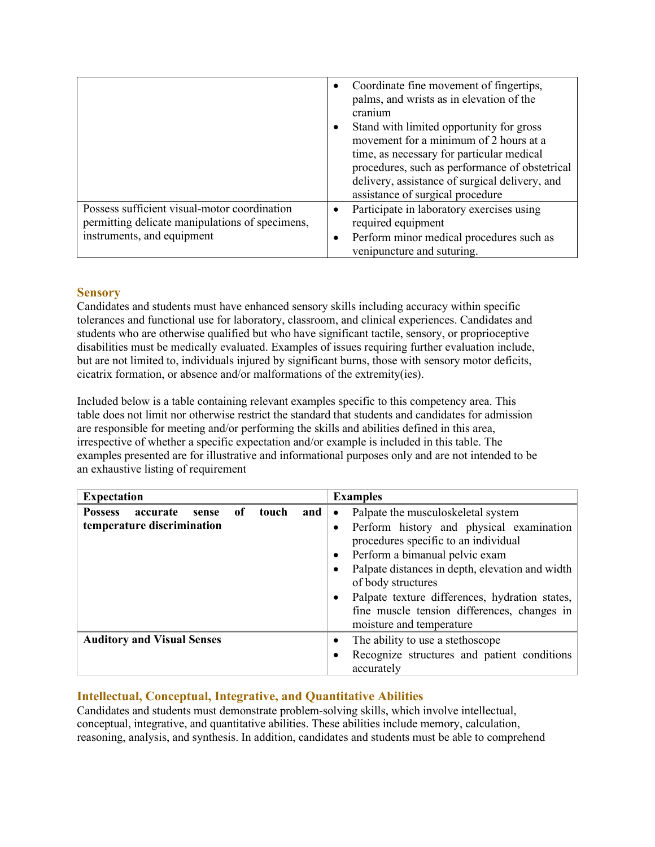|                                                                                                                               | Coordinate fine movement of fingertips,<br>palms, and wrists as in elevation of the<br>cranium<br>Stand with limited opportunity for gross<br>movement for a minimum of 2 hours at a<br>time, as necessary for particular medical<br>procedures, such as performance of obstetrical<br>delivery, assistance of surgical delivery, and<br>assistance of surgical procedure |
|-------------------------------------------------------------------------------------------------------------------------------|---------------------------------------------------------------------------------------------------------------------------------------------------------------------------------------------------------------------------------------------------------------------------------------------------------------------------------------------------------------------------|
| Possess sufficient visual-motor coordination<br>permitting delicate manipulations of specimens,<br>instruments, and equipment | Participate in laboratory exercises using<br>required equipment<br>Perform minor medical procedures such as<br>venipuncture and suturing.                                                                                                                                                                                                                                 |

## **Sensory**

Candidates and students must have enhanced sensory skills including accuracy within specific tolerances and functional use for laboratory, classroom, and clinical experiences. Candidates and students who are otherwise qualified but who have significant tactile, sensory, or proprioceptive disabilities must be medically evaluated. Examples of issues requiring further evaluation include, but are not limited to, individuals injured by significant burns, those with sensory motor deficits, cicatrix formation, or absence and/or malformations of the extremity(ies).

Included below is a table containing relevant examples specific to this competency area. This table does not limit nor otherwise restrict the standard that students and candidates for admission are responsible for meeting and/or performing the skills and abilities defined in this area, irrespective of whether a specific expectation and/or example is included in this table. The examples presented are for illustrative and informational purposes only and are not intended to be an exhaustive listing of requirement

| <b>Expectation</b>                                                                        | <b>Examples</b>                                                                                                                                                                                                                                                                                                                                                               |
|-------------------------------------------------------------------------------------------|-------------------------------------------------------------------------------------------------------------------------------------------------------------------------------------------------------------------------------------------------------------------------------------------------------------------------------------------------------------------------------|
| touch<br>and  <br><b>Possess</b><br>accurate<br>of<br>sense<br>temperature discrimination | Palpate the musculoskeletal system<br>$\bullet$<br>Perform history and physical examination<br>procedures specific to an individual<br>Perform a bimanual pelvic exam<br>Palpate distances in depth, elevation and width  <br>of body structures<br>Palpate texture differences, hydration states,<br>fine muscle tension differences, changes in<br>moisture and temperature |
| <b>Auditory and Visual Senses</b>                                                         | The ability to use a stethoscope<br>٠<br>Recognize structures and patient conditions<br>accurately                                                                                                                                                                                                                                                                            |

## **Intellectual, Conceptual, Integrative, and Quantitative Abilities**

Candidates and students must demonstrate problem-solving skills, which involve intellectual, conceptual, integrative, and quantitative abilities. These abilities include memory, calculation, reasoning, analysis, and synthesis. In addition, candidates and students must be able to comprehend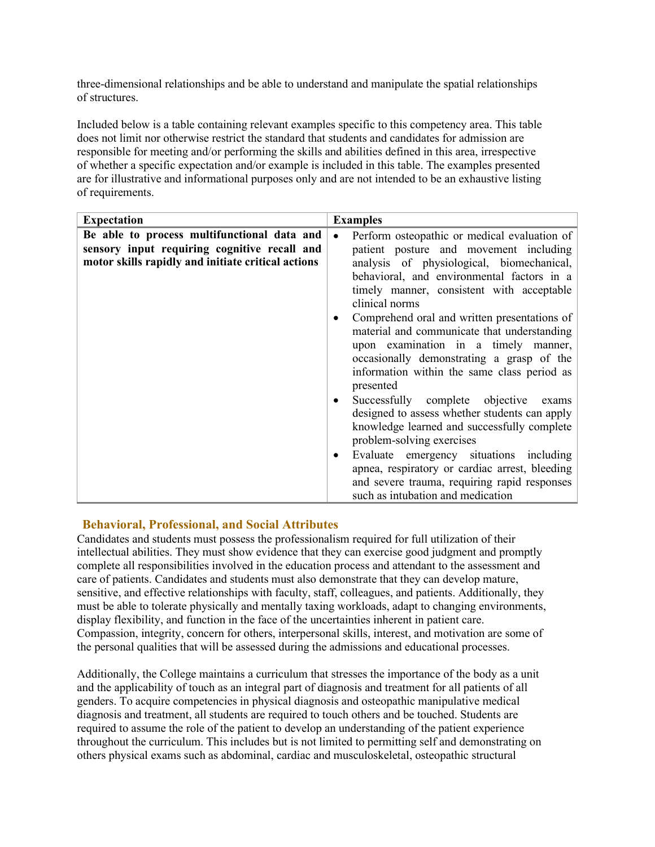three-dimensional relationships and be able to understand and manipulate the spatial relationships of structures.

Included below is a table containing relevant examples specific to this competency area. This table does not limit nor otherwise restrict the standard that students and candidates for admission are responsible for meeting and/or performing the skills and abilities defined in this area, irrespective of whether a specific expectation and/or example is included in this table. The examples presented are for illustrative and informational purposes only and are not intended to be an exhaustive listing of requirements.

| <b>Expectation</b>                                 | <b>Examples</b>                                           |
|----------------------------------------------------|-----------------------------------------------------------|
| Be able to process multifunctional data and        | Perform osteopathic or medical evaluation of<br>$\bullet$ |
| sensory input requiring cognitive recall and       | patient posture and movement including                    |
| motor skills rapidly and initiate critical actions | analysis of physiological, biomechanical,                 |
|                                                    | behavioral, and environmental factors in a                |
|                                                    | timely manner, consistent with acceptable                 |
|                                                    | clinical norms                                            |
|                                                    | Comprehend oral and written presentations of              |
|                                                    | material and communicate that understanding               |
|                                                    | upon examination in a timely manner,                      |
|                                                    | occasionally demonstrating a grasp of the                 |
|                                                    | information within the same class period as               |
|                                                    | presented                                                 |
|                                                    | Successfully complete objective<br>exams                  |
|                                                    | designed to assess whether students can apply             |
|                                                    | knowledge learned and successfully complete               |
|                                                    | problem-solving exercises                                 |
|                                                    | Evaluate emergency situations including<br>٠              |
|                                                    | apnea, respiratory or cardiac arrest, bleeding            |
|                                                    | and severe trauma, requiring rapid responses              |
|                                                    | such as intubation and medication                         |

#### **Behavioral, Professional, and Social Attributes**

Candidates and students must possess the professionalism required for full utilization of their intellectual abilities. They must show evidence that they can exercise good judgment and promptly complete all responsibilities involved in the education process and attendant to the assessment and care of patients. Candidates and students must also demonstrate that they can develop mature, sensitive, and effective relationships with faculty, staff, colleagues, and patients. Additionally, they must be able to tolerate physically and mentally taxing workloads, adapt to changing environments, display flexibility, and function in the face of the uncertainties inherent in patient care. Compassion, integrity, concern for others, interpersonal skills, interest, and motivation are some of the personal qualities that will be assessed during the admissions and educational processes.

Additionally, the College maintains a curriculum that stresses the importance of the body as a unit and the applicability of touch as an integral part of diagnosis and treatment for all patients of all genders. To acquire competencies in physical diagnosis and osteopathic manipulative medical diagnosis and treatment, all students are required to touch others and be touched. Students are required to assume the role of the patient to develop an understanding of the patient experience throughout the curriculum. This includes but is not limited to permitting self and demonstrating on others physical exams such as abdominal, cardiac and musculoskeletal, osteopathic structural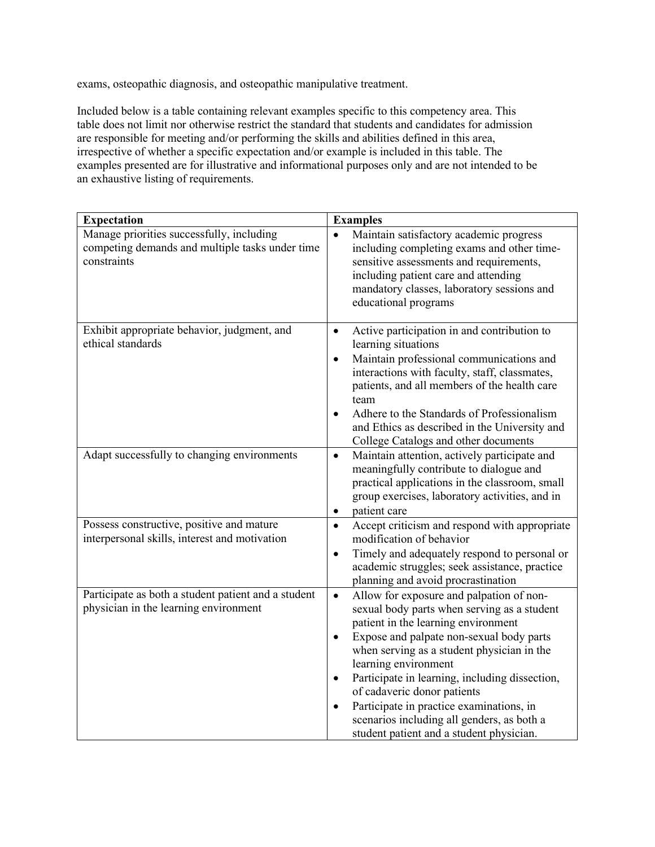exams, osteopathic diagnosis, and osteopathic manipulative treatment.

Included below is a table containing relevant examples specific to this competency area. This table does not limit nor otherwise restrict the standard that students and candidates for admission are responsible for meeting and/or performing the skills and abilities defined in this area, irrespective of whether a specific expectation and/or example is included in this table. The examples presented are for illustrative and informational purposes only and are not intended to be an exhaustive listing of requirements.

| <b>Expectation</b>                                                                                          | <b>Examples</b>                                                                                                                                                                                                                                                                                                                                                                                                                                                                                                             |
|-------------------------------------------------------------------------------------------------------------|-----------------------------------------------------------------------------------------------------------------------------------------------------------------------------------------------------------------------------------------------------------------------------------------------------------------------------------------------------------------------------------------------------------------------------------------------------------------------------------------------------------------------------|
| Manage priorities successfully, including<br>competing demands and multiple tasks under time<br>constraints | Maintain satisfactory academic progress<br>$\bullet$<br>including completing exams and other time-<br>sensitive assessments and requirements,<br>including patient care and attending<br>mandatory classes, laboratory sessions and<br>educational programs                                                                                                                                                                                                                                                                 |
| Exhibit appropriate behavior, judgment, and<br>ethical standards                                            | Active participation in and contribution to<br>$\bullet$<br>learning situations<br>Maintain professional communications and<br>$\bullet$<br>interactions with faculty, staff, classmates,<br>patients, and all members of the health care<br>team<br>Adhere to the Standards of Professionalism<br>$\bullet$<br>and Ethics as described in the University and<br>College Catalogs and other documents                                                                                                                       |
| Adapt successfully to changing environments                                                                 | Maintain attention, actively participate and<br>$\bullet$<br>meaningfully contribute to dialogue and<br>practical applications in the classroom, small<br>group exercises, laboratory activities, and in<br>patient care<br>$\bullet$                                                                                                                                                                                                                                                                                       |
| Possess constructive, positive and mature<br>interpersonal skills, interest and motivation                  | Accept criticism and respond with appropriate<br>$\bullet$<br>modification of behavior<br>Timely and adequately respond to personal or<br>$\bullet$<br>academic struggles; seek assistance, practice<br>planning and avoid procrastination                                                                                                                                                                                                                                                                                  |
| Participate as both a student patient and a student<br>physician in the learning environment                | Allow for exposure and palpation of non-<br>$\bullet$<br>sexual body parts when serving as a student<br>patient in the learning environment<br>Expose and palpate non-sexual body parts<br>$\bullet$<br>when serving as a student physician in the<br>learning environment<br>Participate in learning, including dissection,<br>$\bullet$<br>of cadaveric donor patients<br>Participate in practice examinations, in<br>$\bullet$<br>scenarios including all genders, as both a<br>student patient and a student physician. |